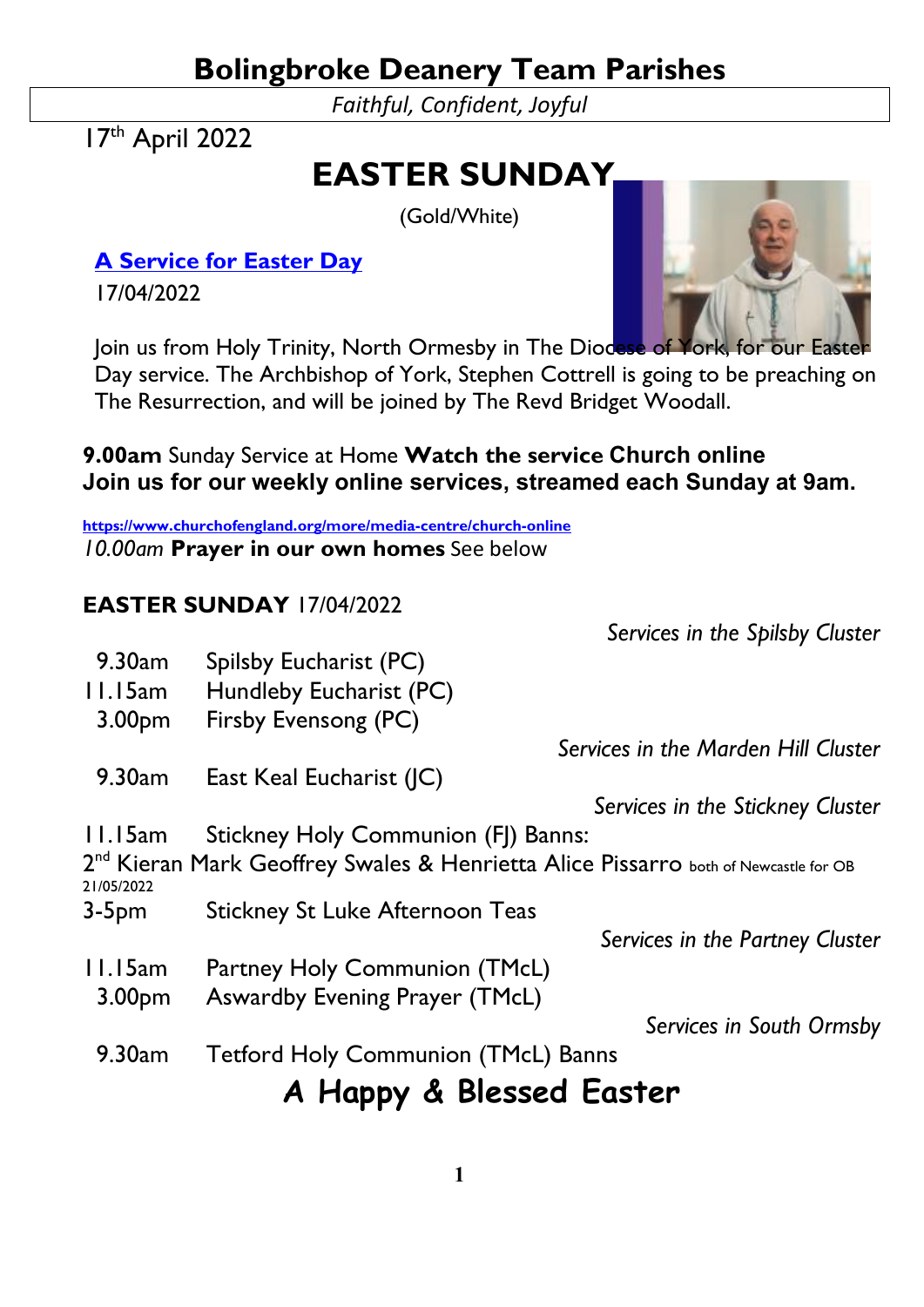# **Bolingbroke Deanery Team Parishes**

*Faithful, Confident, Joyful*

17th April 2022

# **EASTER SUNDAY**

(Gold/White)

**[A Service for Easter Day](https://www.churchofengland.org/prayer-and-worship/join-us-church-online/weekly-online-services/service-easter-day)**

17/04/2022



Join us from Holy Trinity, North Ormesby in The Diocese of York, for our Easter Day service. The Archbishop of York, Stephen Cottrell is going to be preaching on The Resurrection, and will be joined by The Revd Bridget Woodall.

**9.00am** Sunday Service at Home **Watch the service Church online Join us for our weekly online services, streamed each Sunday at 9am.** 

**<https://www.churchofengland.org/more/media-centre/church-online>** *10.00am* **Prayer in our own homes** See below

## **EASTER SUNDAY** 17/04/2022

*Services in the Spilsby Cluster*

- 9.30am Spilsby Eucharist (PC)
- 11.15am Hundleby Eucharist (PC)
	- 3.00pm Firsby Evensong (PC)
	- 9.30am East Keal Eucharist (JC)

*Services in the Marden Hill Cluster*

*Services in the Stickney Cluster*

11.15am Stickney Holy Communion (FJ) Banns:

2<sup>nd</sup> Kieran Mark Geoffrey Swales & Henrietta Alice Pissarro both of Newcastle for OB 21/05/2022

3-5pm Stickney St Luke Afternoon Teas

*Services in the Partney Cluster*

- 11.15am Partney Holy Communion (TMcL)
- 3.00pm Aswardby Evening Prayer (TMcL)

*Services in South Ormsby*

9.30am Tetford Holy Communion (TMcL) Banns

# **A Happy & Blessed Easter**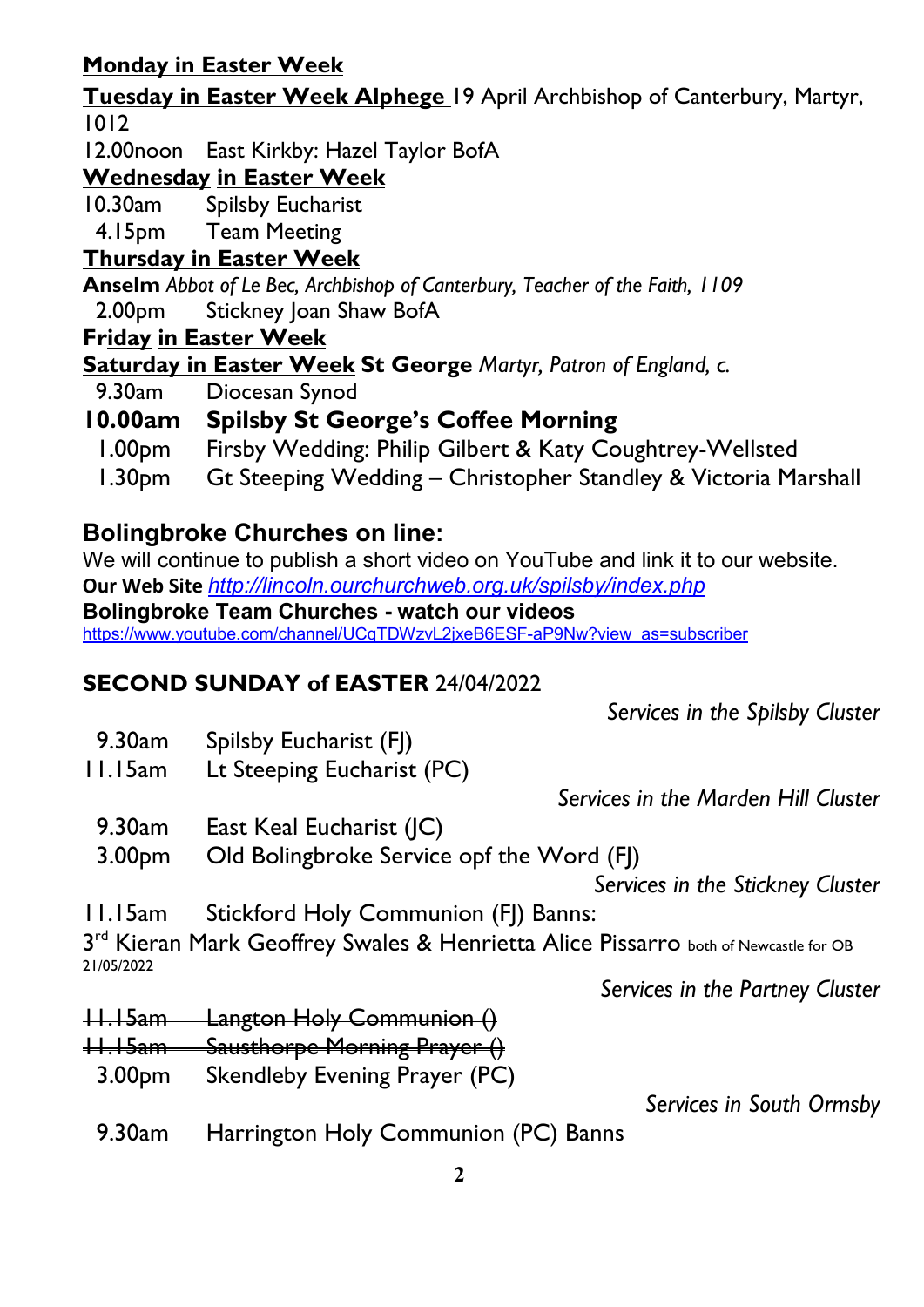## **Monday in Easter Week**

**Tuesday in Easter Week Alphege** 19 April Archbishop of Canterbury, Martyr, 1012

12.00noon East Kirkby: Hazel Taylor BofA

## **Wednesday in Easter Week**

10.30am Spilsby Eucharist

4.15pm Team Meeting

# **Thursday in Easter Week**

**Anselm** *Abbot of Le Bec, Archbishop of Canterbury, Teacher of the Faith, 1109* 2.00pm Stickney Joan Shaw BofA

## **Friday in Easter Week**

**Saturday in Easter Week St George** *Martyr, Patron of England, c.*

9.30am Diocesan Synod

# **10.00am Spilsby St George's Coffee Morning**

- 1.00pm Firsby Wedding: Philip Gilbert & Katy Coughtrey-Wellsted
- 1.30pm Gt Steeping Wedding Christopher Standley & Victoria Marshall

# **Bolingbroke Churches on line:**

We will continue to publish a short video on YouTube and link it to our website. **Our Web Site** *<http://lincoln.ourchurchweb.org.uk/spilsby/index.php>*

**Bolingbroke Team Churches - watch our videos** 

[https://www.youtube.com/channel/UCqTDWzvL2jxeB6ESF-aP9Nw?view\\_as=subscriber](https://www.youtube.com/channel/UCqTDWzvL2jxeB6ESF-aP9Nw?view_as=subscriber)

## **SECOND SUNDAY of EASTER** 24/04/2022

*Services in the Spilsby Cluster*

- 9.30am Spilsby Eucharist (FJ)
- 11.15am Lt Steeping Eucharist (PC)

*Services in the Marden Hill Cluster*

- 9.30am East Keal Eucharist (JC)
- 3.00pm Old Bolingbroke Service opf the Word (FJ)

*Services in the Stickney Cluster*

11.15am Stickford Holy Communion (FJ) Banns:

3<sup>rd</sup> Kieran Mark Geoffrey Swales & Henrietta Alice Pissarro both of Newcastle for OB 21/05/2022

*Services in the Partney Cluster*

## 11.15am Langton Holy Communion ()

- 11.15am Sausthorpe Morning Prayer ()
	- 3.00pm Skendleby Evening Prayer (PC)

*Services in South Ormsby*

9.30am Harrington Holy Communion (PC) Banns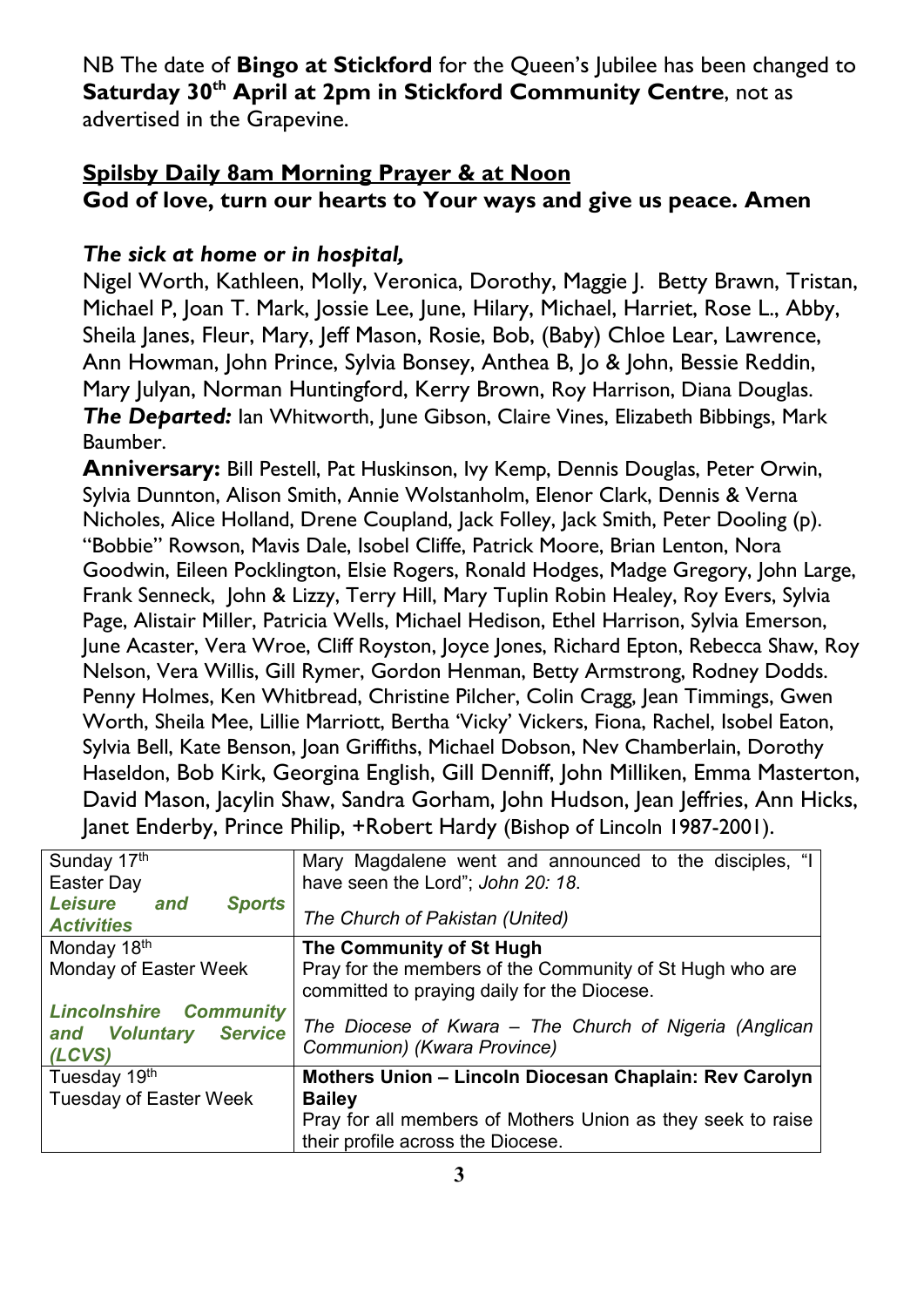NB The date of **Bingo at Stickford** for the Queen's Jubilee has been changed to **Saturday 30<sup>th</sup> April at 2pm in Stickford Community Centre, not as** advertised in the Grapevine.

### **Spilsby Daily 8am Morning Prayer & at Noon God of love, turn our hearts to Your ways and give us peace. Amen**

### *The sick at home or in hospital,*

Nigel Worth, Kathleen, Molly, Veronica, Dorothy, Maggie J. Betty Brawn, Tristan, Michael P, Joan T. Mark, Jossie Lee, June, Hilary, Michael, Harriet, Rose L., Abby, Sheila Janes, Fleur, Mary, Jeff Mason, Rosie, Bob, (Baby) Chloe Lear, Lawrence, Ann Howman, John Prince, Sylvia Bonsey, Anthea B, Jo & John, Bessie Reddin, Mary Julyan, Norman Huntingford, Kerry Brown, Roy Harrison, Diana Douglas. **The Departed:** Ian Whitworth, June Gibson, Claire Vines, Elizabeth Bibbings, Mark Baumber.

**Anniversary:** Bill Pestell, Pat Huskinson, Ivy Kemp, Dennis Douglas, Peter Orwin, Sylvia Dunnton, Alison Smith, Annie Wolstanholm, Elenor Clark, Dennis & Verna Nicholes, Alice Holland, Drene Coupland, Jack Folley, Jack Smith, Peter Dooling (p). "Bobbie" Rowson, Mavis Dale, Isobel Cliffe, Patrick Moore, Brian Lenton, Nora Goodwin, Eileen Pocklington, Elsie Rogers, Ronald Hodges, Madge Gregory, John Large, Frank Senneck, John & Lizzy, Terry Hill, Mary Tuplin Robin Healey, Roy Evers, Sylvia Page, Alistair Miller, Patricia Wells, Michael Hedison, Ethel Harrison, Sylvia Emerson, June Acaster, Vera Wroe, Cliff Royston, Joyce Jones, Richard Epton, Rebecca Shaw, Roy Nelson, Vera Willis, Gill Rymer, Gordon Henman, Betty Armstrong, Rodney Dodds. Penny Holmes, Ken Whitbread, Christine Pilcher, Colin Cragg, Jean Timmings, Gwen Worth, Sheila Mee, Lillie Marriott, Bertha 'Vicky' Vickers, Fiona, Rachel, Isobel Eaton, Sylvia Bell, Kate Benson, Joan Griffiths, Michael Dobson, Nev Chamberlain, Dorothy Haseldon, Bob Kirk, Georgina English, Gill Denniff, John Milliken, Emma Masterton, David Mason, Jacylin Shaw, Sandra Gorham, John Hudson, Jean Jeffries, Ann Hicks, Janet Enderby, Prince Philip, +Robert Hardy (Bishop of Lincoln 1987-2001).

| Sunday 17th<br>Easter Day                                                  | Mary Magdalene went and announced to the disciples, "I<br>have seen the Lord"; John 20: 18.             |
|----------------------------------------------------------------------------|---------------------------------------------------------------------------------------------------------|
| <b>Leisure</b><br>and<br><b>Sports</b><br><b>Activities</b>                | The Church of Pakistan (United)                                                                         |
| Monday 18th                                                                | The Community of St Hugh                                                                                |
| Monday of Easter Week                                                      | Pray for the members of the Community of St Hugh who are<br>committed to praying daily for the Diocese. |
| <b>Lincolnshire Community</b><br><b>Service</b><br>and Voluntary<br>(LCVS) | The Diocese of Kwara – The Church of Nigeria (Anglican<br>Communion) (Kwara Province)                   |
| Tuesday 19th                                                               | Mothers Union - Lincoln Diocesan Chaplain: Rev Carolyn                                                  |
| <b>Tuesday of Easter Week</b>                                              | <b>Bailey</b>                                                                                           |
|                                                                            | Pray for all members of Mothers Union as they seek to raise<br>their profile across the Diocese.        |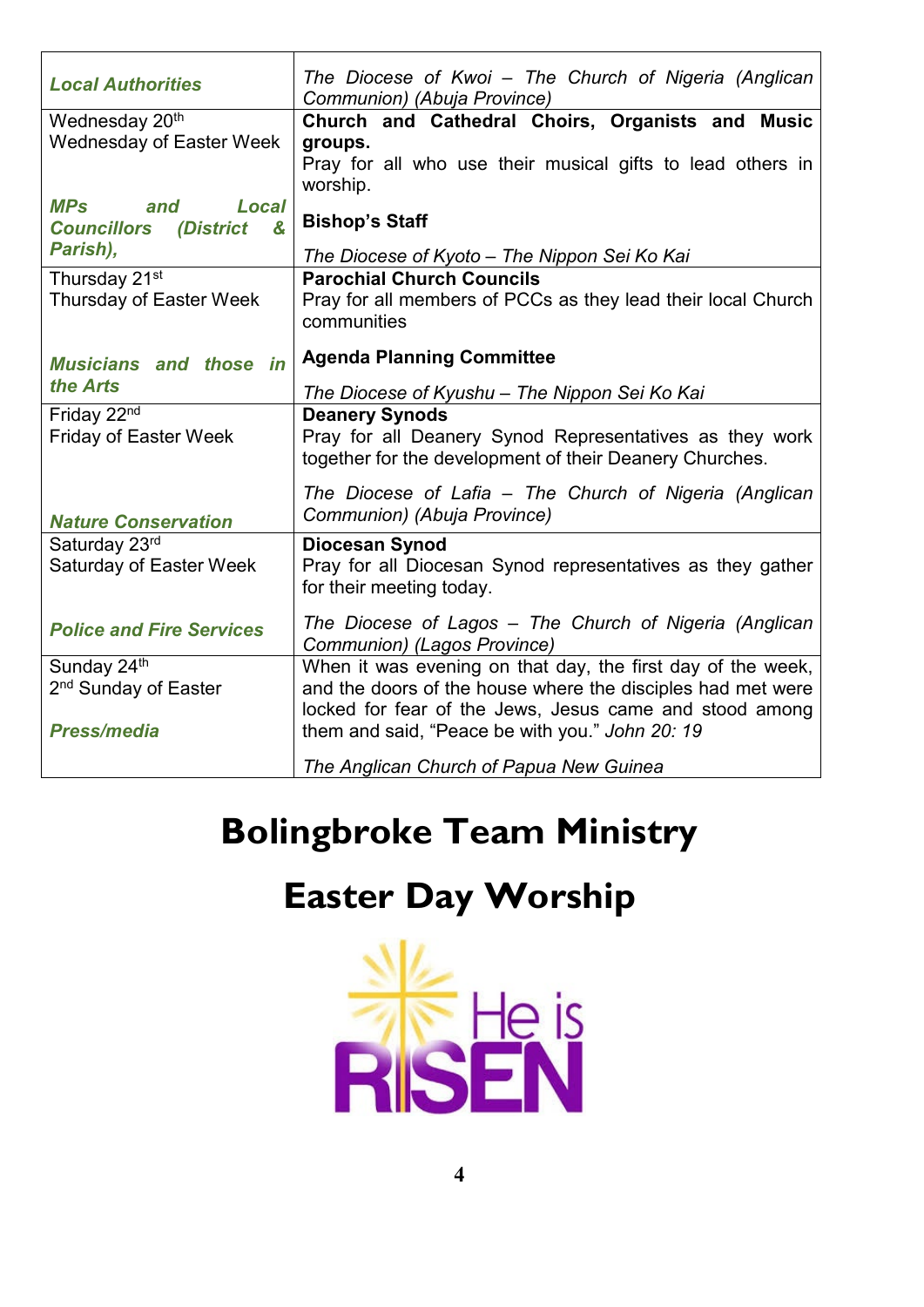| <b>Local Authorities</b>                                           | The Diocese of Kwoi – The Church of Nigeria (Anglican<br>Communion) (Abuja Province)                               |
|--------------------------------------------------------------------|--------------------------------------------------------------------------------------------------------------------|
| Wednesday 20 <sup>th</sup>                                         | Church and Cathedral Choirs, Organists and Music                                                                   |
| <b>Wednesday of Easter Week</b>                                    | groups.                                                                                                            |
|                                                                    | Pray for all who use their musical gifts to lead others in<br>worship.                                             |
| <b>MPs</b><br>Local<br>and<br>(District<br>&<br><b>Councillors</b> | <b>Bishop's Staff</b>                                                                                              |
| Parish),                                                           | The Diocese of Kyoto - The Nippon Sei Ko Kai                                                                       |
| Thursday 21st                                                      | <b>Parochial Church Councils</b>                                                                                   |
| <b>Thursday of Easter Week</b>                                     | Pray for all members of PCCs as they lead their local Church<br>communities                                        |
| <b>Musicians and those in</b>                                      | <b>Agenda Planning Committee</b>                                                                                   |
| the Arts                                                           | The Diocese of Kyushu - The Nippon Sei Ko Kai                                                                      |
| Friday 22 <sup>nd</sup>                                            | <b>Deanery Synods</b>                                                                                              |
| <b>Friday of Easter Week</b>                                       | Pray for all Deanery Synod Representatives as they work<br>together for the development of their Deanery Churches. |
|                                                                    | The Diocese of Lafia - The Church of Nigeria (Anglican                                                             |
| <b>Nature Conservation</b>                                         | Communion) (Abuja Province)                                                                                        |
| Saturday 23rd                                                      | <b>Diocesan Synod</b>                                                                                              |
| <b>Saturday of Easter Week</b>                                     | Pray for all Diocesan Synod representatives as they gather<br>for their meeting today.                             |
| <b>Police and Fire Services</b>                                    | The Diocese of Lagos – The Church of Nigeria (Anglican<br>Communion) (Lagos Province)                              |
| Sunday 24th                                                        | When it was evening on that day, the first day of the week,                                                        |
| 2 <sup>nd</sup> Sunday of Easter                                   | and the doors of the house where the disciples had met were                                                        |
|                                                                    | locked for fear of the Jews, Jesus came and stood among                                                            |
| <b>Press/media</b>                                                 | them and said, "Peace be with you." John 20: 19                                                                    |
|                                                                    | The Anglican Church of Papua New Guinea                                                                            |

# **Bolingbroke Team Ministry**

# **Easter Day Worship**

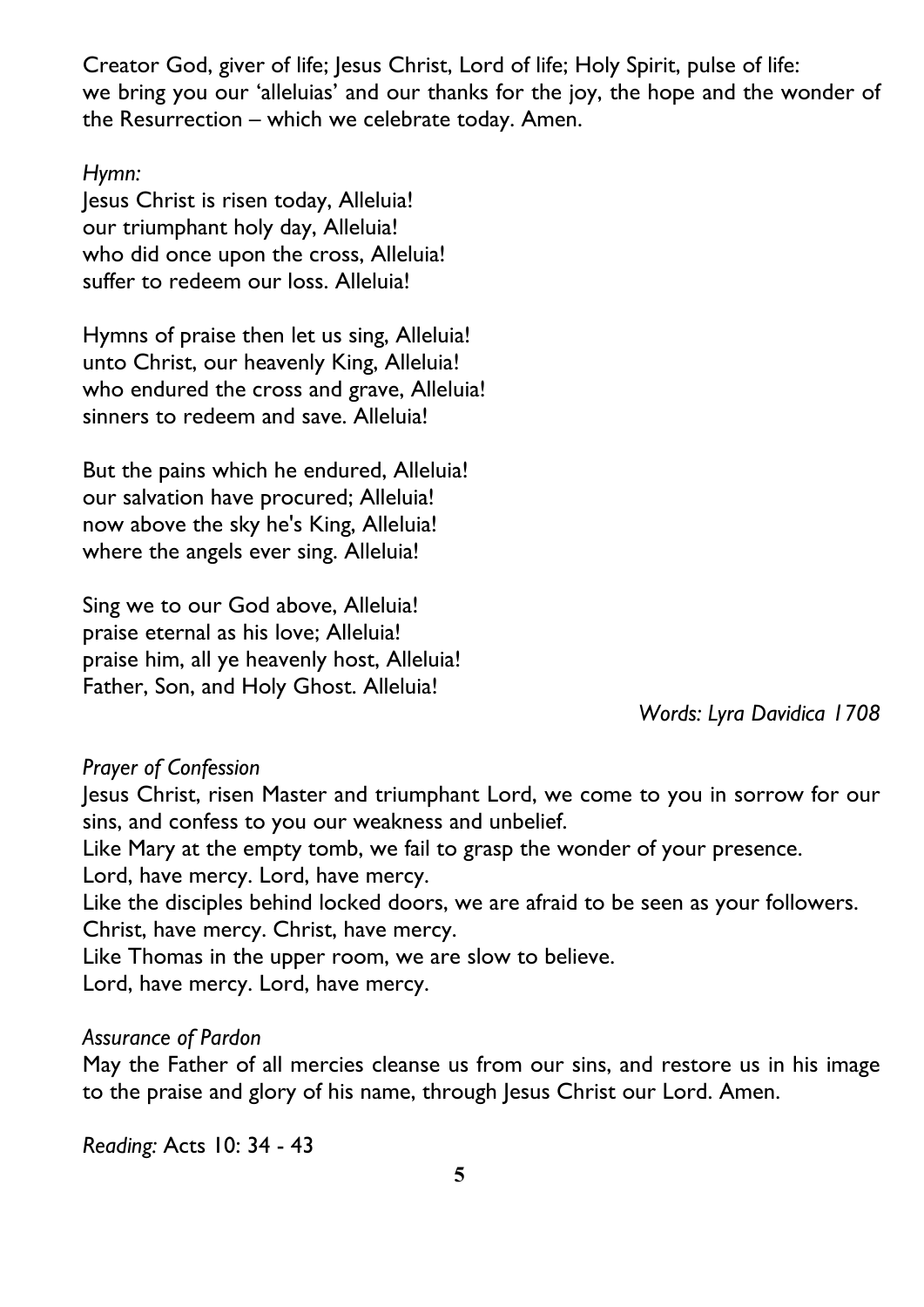Creator God, giver of life; Jesus Christ, Lord of life; Holy Spirit, pulse of life: we bring you our 'alleluias' and our thanks for the joy, the hope and the wonder of the Resurrection – which we celebrate today. Amen.

*Hymn:*

Jesus Christ is risen today, Alleluia! our triumphant holy day, Alleluia! who did once upon the cross, Alleluia! suffer to redeem our loss. Alleluia!

Hymns of praise then let us sing, Alleluia! unto Christ, our heavenly King, Alleluia! who endured the cross and grave, Alleluia! sinners to redeem and save. Alleluia!

But the pains which he endured, Alleluia! our salvation have procured; Alleluia! now above the sky he's King, Alleluia! where the angels ever sing. Alleluia!

Sing we to our God above, Alleluia! praise eternal as his love; Alleluia! praise him, all ye heavenly host, Alleluia! Father, Son, and Holy Ghost. Alleluia!

*Words: Lyra Davidica 1708*

### *Prayer of Confession*

Jesus Christ, risen Master and triumphant Lord, we come to you in sorrow for our sins, and confess to you our weakness and unbelief.

Like Mary at the empty tomb, we fail to grasp the wonder of your presence.

Lord, have mercy. Lord, have mercy.

Like the disciples behind locked doors, we are afraid to be seen as your followers. Christ, have mercy. Christ, have mercy.

Like Thomas in the upper room, we are slow to believe.

Lord, have mercy. Lord, have mercy.

#### *Assurance of Pardon*

May the Father of all mercies cleanse us from our sins, and restore us in his image to the praise and glory of his name, through Jesus Christ our Lord. Amen.

*Reading:* Acts 10: 34 - 43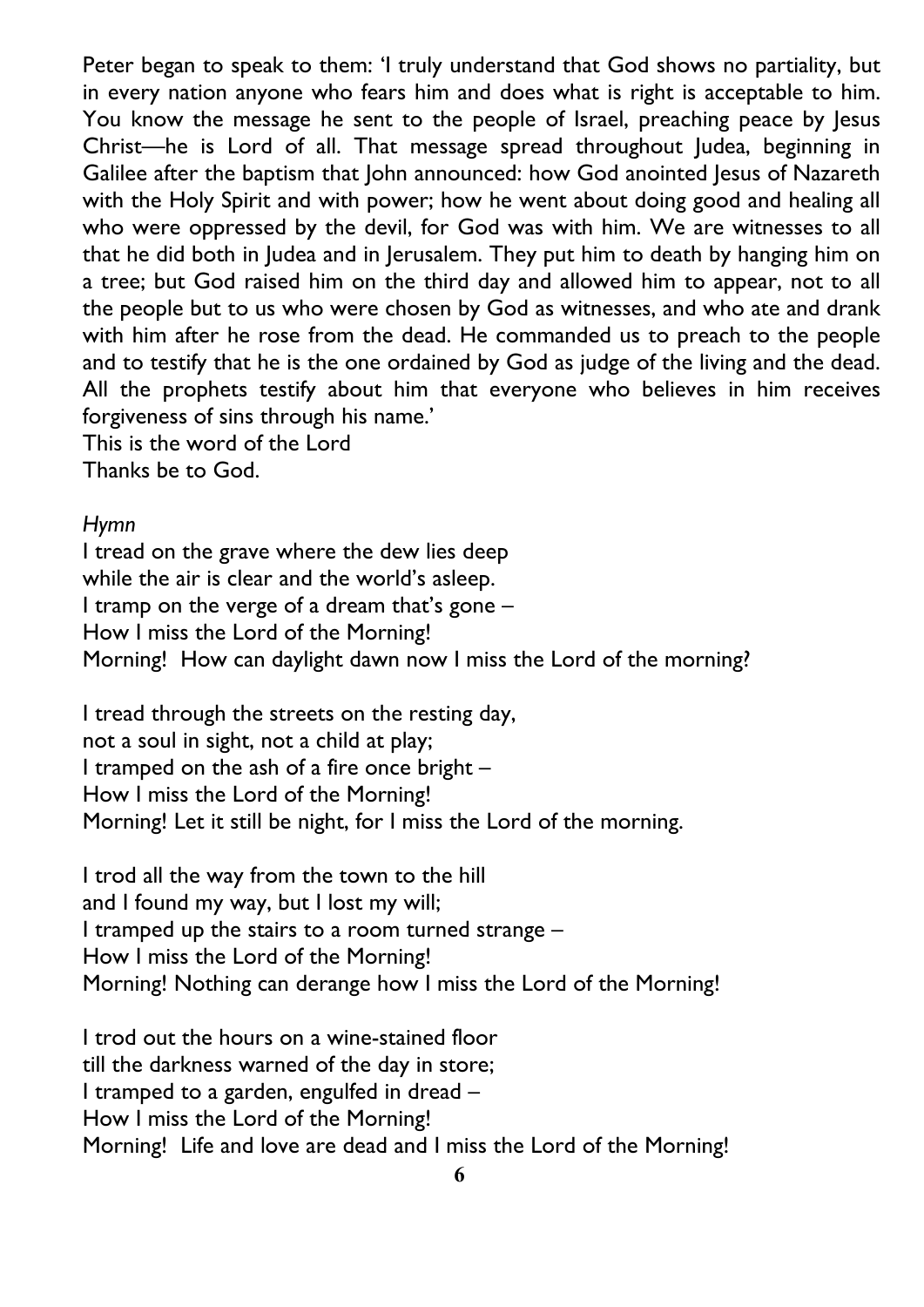Peter began to speak to them: 'I truly understand that God shows no partiality, but in every nation anyone who fears him and does what is right is acceptable to him. You know the message he sent to the people of Israel, preaching peace by Jesus Christ—he is Lord of all. That message spread throughout Judea, beginning in Galilee after the baptism that John announced: how God anointed Jesus of Nazareth with the Holy Spirit and with power; how he went about doing good and healing all who were oppressed by the devil, for God was with him. We are witnesses to all that he did both in Judea and in Jerusalem. They put him to death by hanging him on a tree; but God raised him on the third day and allowed him to appear, not to all the people but to us who were chosen by God as witnesses, and who ate and drank with him after he rose from the dead. He commanded us to preach to the people and to testify that he is the one ordained by God as judge of the living and the dead. All the prophets testify about him that everyone who believes in him receives forgiveness of sins through his name.' This is the word of the Lord

Thanks be to God.

#### *Hymn*

I tread on the grave where the dew lies deep while the air is clear and the world's asleep. I tramp on the verge of a dream that's gone – How I miss the Lord of the Morning! Morning! How can daylight dawn now I miss the Lord of the morning?

I tread through the streets on the resting day, not a soul in sight, not a child at play; I tramped on the ash of a fire once bright – How I miss the Lord of the Morning! Morning! Let it still be night, for I miss the Lord of the morning.

I trod all the way from the town to the hill and I found my way, but I lost my will; I tramped up the stairs to a room turned strange – How I miss the Lord of the Morning! Morning! Nothing can derange how I miss the Lord of the Morning!

I trod out the hours on a wine-stained floor till the darkness warned of the day in store; I tramped to a garden, engulfed in dread – How I miss the Lord of the Morning! Morning! Life and love are dead and I miss the Lord of the Morning!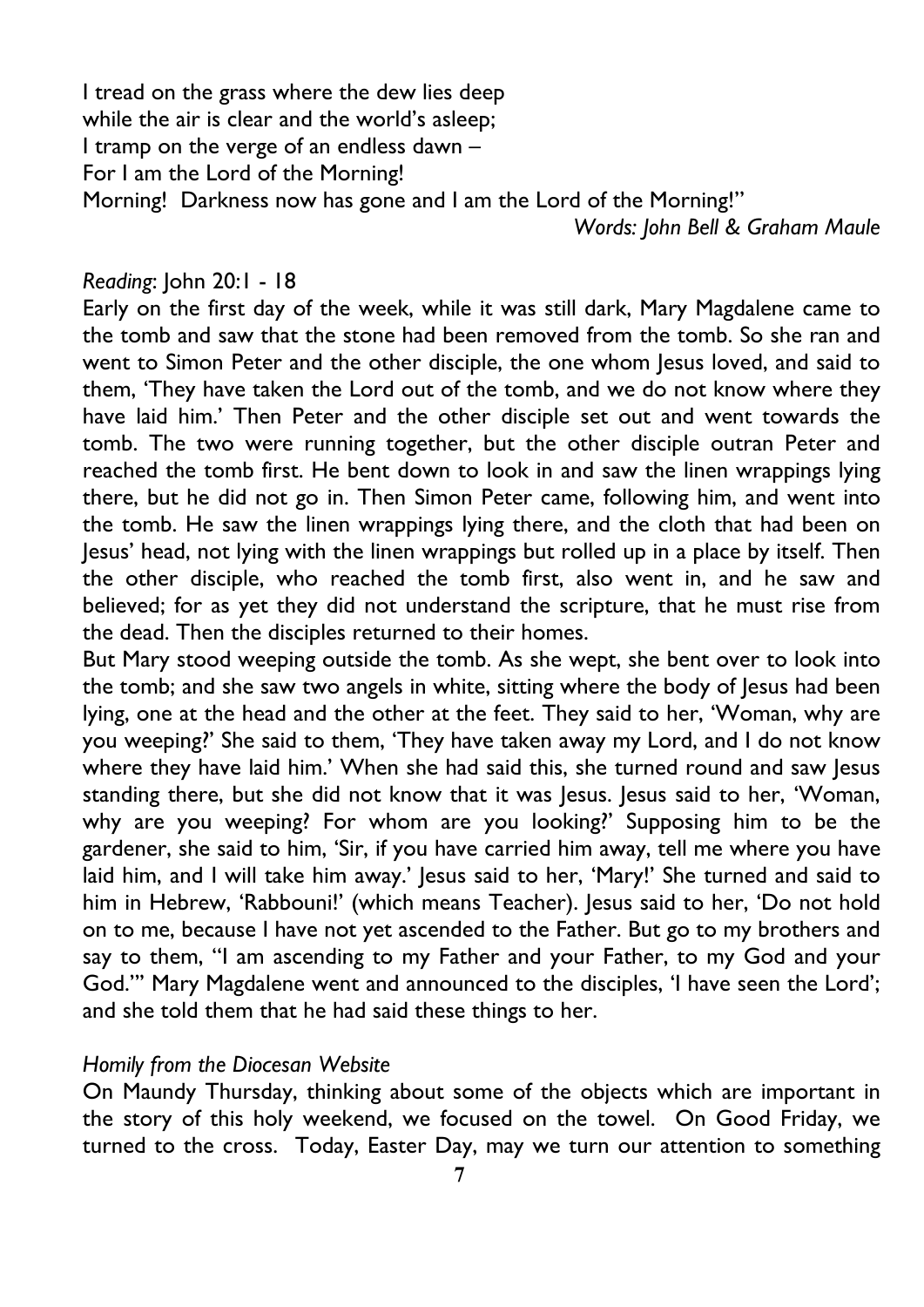I tread on the grass where the dew lies deep while the air is clear and the world's asleep; I tramp on the verge of an endless dawn – For I am the Lord of the Morning! Morning! Darkness now has gone and I am the Lord of the Morning!" *Words: John Bell & Graham Maule*

#### *Reading*: John 20:1 - 18

Early on the first day of the week, while it was still dark, Mary Magdalene came to the tomb and saw that the stone had been removed from the tomb. So she ran and went to Simon Peter and the other disciple, the one whom Jesus loved, and said to them, 'They have taken the Lord out of the tomb, and we do not know where they have laid him.' Then Peter and the other disciple set out and went towards the tomb. The two were running together, but the other disciple outran Peter and reached the tomb first. He bent down to look in and saw the linen wrappings lying there, but he did not go in. Then Simon Peter came, following him, and went into the tomb. He saw the linen wrappings lying there, and the cloth that had been on Jesus' head, not lying with the linen wrappings but rolled up in a place by itself. Then the other disciple, who reached the tomb first, also went in, and he saw and believed; for as yet they did not understand the scripture, that he must rise from the dead. Then the disciples returned to their homes.

But Mary stood weeping outside the tomb. As she wept, she bent over to look into the tomb; and she saw two angels in white, sitting where the body of Jesus had been lying, one at the head and the other at the feet. They said to her, 'Woman, why are you weeping?' She said to them, 'They have taken away my Lord, and I do not know where they have laid him.' When she had said this, she turned round and saw Jesus standing there, but she did not know that it was Jesus. Jesus said to her, 'Woman, why are you weeping? For whom are you looking?' Supposing him to be the gardener, she said to him, 'Sir, if you have carried him away, tell me where you have laid him, and I will take him away.' Jesus said to her, 'Mary!' She turned and said to him in Hebrew, 'Rabbouni!' (which means Teacher). Jesus said to her, 'Do not hold on to me, because I have not yet ascended to the Father. But go to my brothers and say to them, "I am ascending to my Father and your Father, to my God and your God."' Mary Magdalene went and announced to the disciples, 'I have seen the Lord'; and she told them that he had said these things to her.

### *Homily from the Diocesan Website*

On Maundy Thursday, thinking about some of the objects which are important in the story of this holy weekend, we focused on the towel. On Good Friday, we turned to the cross. Today, Easter Day, may we turn our attention to something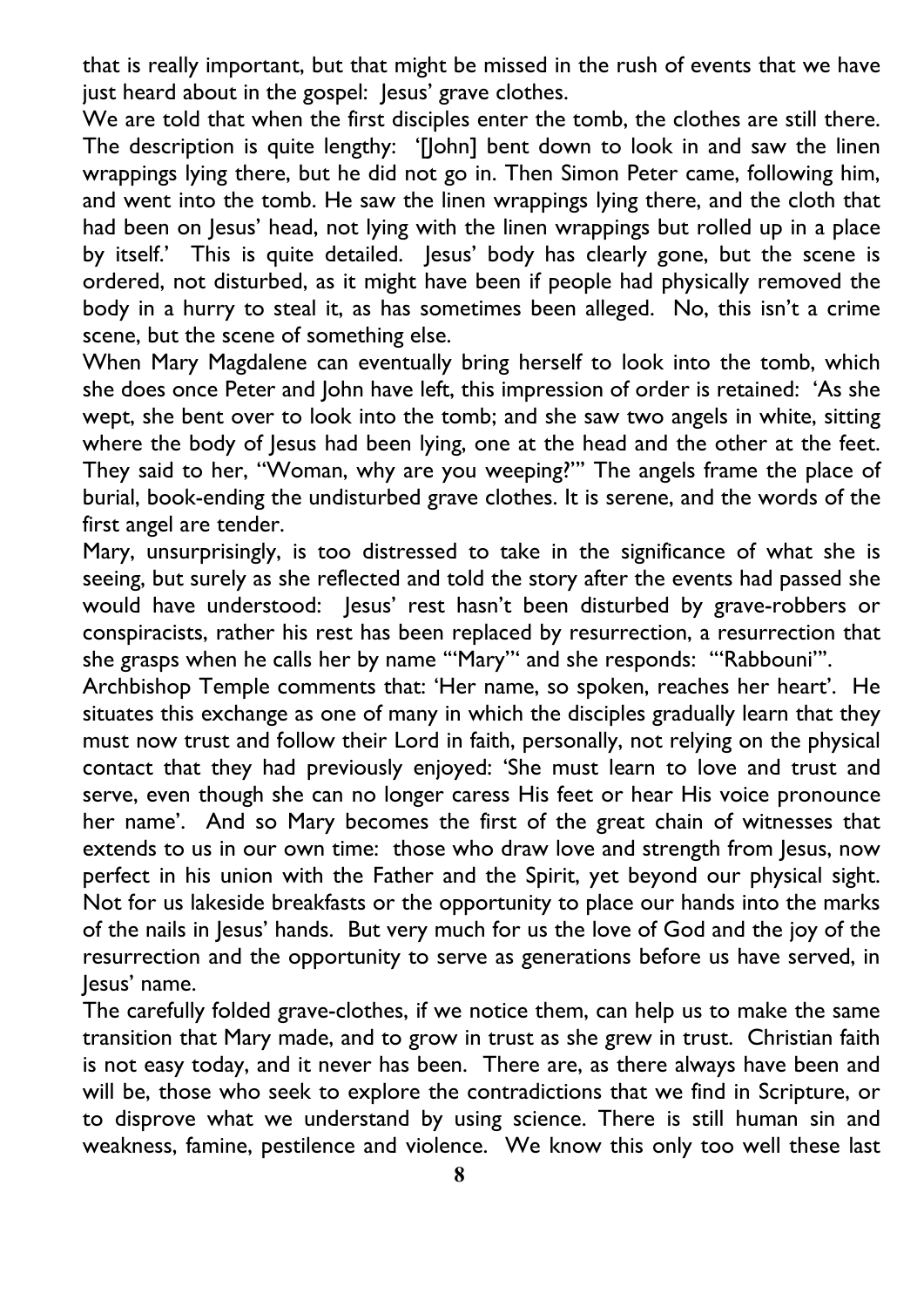that is really important, but that might be missed in the rush of events that we have just heard about in the gospel: Jesus' grave clothes.

We are told that when the first disciples enter the tomb, the clothes are still there. The description is quite lengthy: '[John] bent down to look in and saw the linen wrappings lying there, but he did not go in. Then Simon Peter came, following him, and went into the tomb. He saw the linen wrappings lying there, and the cloth that had been on Jesus' head, not lying with the linen wrappings but rolled up in a place by itself.' This is quite detailed. Jesus' body has clearly gone, but the scene is ordered, not disturbed, as it might have been if people had physically removed the body in a hurry to steal it, as has sometimes been alleged. No, this isn't a crime scene, but the scene of something else.

When Mary Magdalene can eventually bring herself to look into the tomb, which she does once Peter and John have left, this impression of order is retained: 'As she wept, she bent over to look into the tomb; and she saw two angels in white, sitting where the body of Jesus had been lying, one at the head and the other at the feet. They said to her, "Woman, why are you weeping?"' The angels frame the place of burial, book-ending the undisturbed grave clothes. It is serene, and the words of the first angel are tender.

Mary, unsurprisingly, is too distressed to take in the significance of what she is seeing, but surely as she reflected and told the story after the events had passed she would have understood: Jesus' rest hasn't been disturbed by grave-robbers or conspiracists, rather his rest has been replaced by resurrection, a resurrection that she grasps when he calls her by name '"Mary"' and she responds: '"Rabbouni"'.

Archbishop Temple comments that: 'Her name, so spoken, reaches her heart'. He situates this exchange as one of many in which the disciples gradually learn that they must now trust and follow their Lord in faith, personally, not relying on the physical contact that they had previously enjoyed: 'She must learn to love and trust and serve, even though she can no longer caress His feet or hear His voice pronounce her name'. And so Mary becomes the first of the great chain of witnesses that extends to us in our own time: those who draw love and strength from Jesus, now perfect in his union with the Father and the Spirit, yet beyond our physical sight. Not for us lakeside breakfasts or the opportunity to place our hands into the marks of the nails in Jesus' hands. But very much for us the love of God and the joy of the resurrection and the opportunity to serve as generations before us have served, in Jesus' name.

The carefully folded grave-clothes, if we notice them, can help us to make the same transition that Mary made, and to grow in trust as she grew in trust. Christian faith is not easy today, and it never has been. There are, as there always have been and will be, those who seek to explore the contradictions that we find in Scripture, or to disprove what we understand by using science. There is still human sin and weakness, famine, pestilence and violence. We know this only too well these last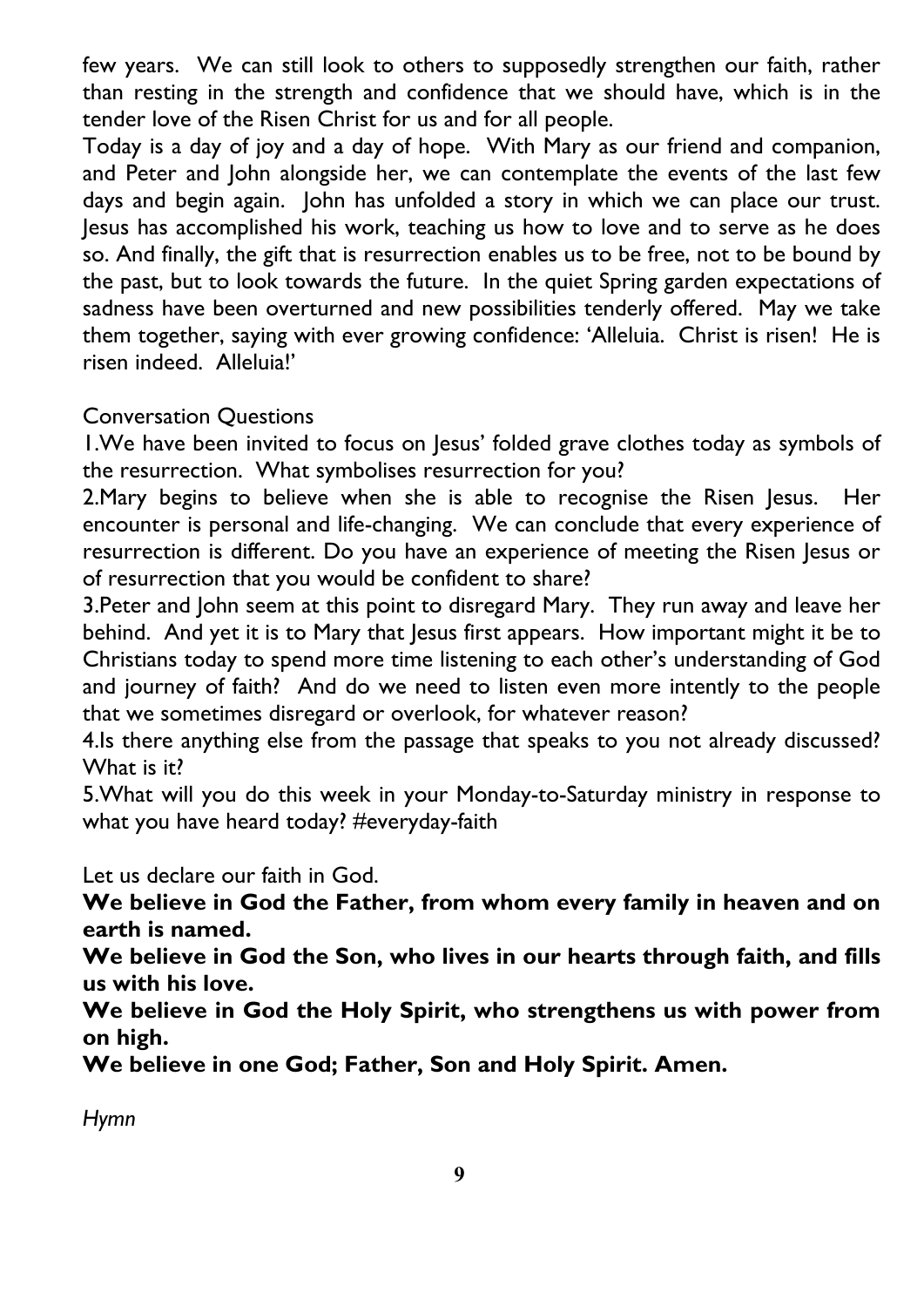few years. We can still look to others to supposedly strengthen our faith, rather than resting in the strength and confidence that we should have, which is in the tender love of the Risen Christ for us and for all people.

Today is a day of joy and a day of hope. With Mary as our friend and companion, and Peter and John alongside her, we can contemplate the events of the last few days and begin again. John has unfolded a story in which we can place our trust. Jesus has accomplished his work, teaching us how to love and to serve as he does so. And finally, the gift that is resurrection enables us to be free, not to be bound by the past, but to look towards the future. In the quiet Spring garden expectations of sadness have been overturned and new possibilities tenderly offered. May we take them together, saying with ever growing confidence: 'Alleluia. Christ is risen! He is risen indeed. Alleluia!'

### Conversation Questions

1.We have been invited to focus on Jesus' folded grave clothes today as symbols of the resurrection. What symbolises resurrection for you?

2.Mary begins to believe when she is able to recognise the Risen Jesus. Her encounter is personal and life-changing. We can conclude that every experience of resurrection is different. Do you have an experience of meeting the Risen Jesus or of resurrection that you would be confident to share?

3.Peter and John seem at this point to disregard Mary. They run away and leave her behind. And yet it is to Mary that Jesus first appears. How important might it be to Christians today to spend more time listening to each other's understanding of God and journey of faith? And do we need to listen even more intently to the people that we sometimes disregard or overlook, for whatever reason?

4.Is there anything else from the passage that speaks to you not already discussed? What is it?

5.What will you do this week in your Monday-to-Saturday ministry in response to what you have heard today? #everyday-faith

Let us declare our faith in God.

**We believe in God the Father, from whom every family in heaven and on earth is named.**

**We believe in God the Son, who lives in our hearts through faith, and fills us with his love.**

**We believe in God the Holy Spirit, who strengthens us with power from on high.**

**We believe in one God; Father, Son and Holy Spirit. Amen.**

*Hymn*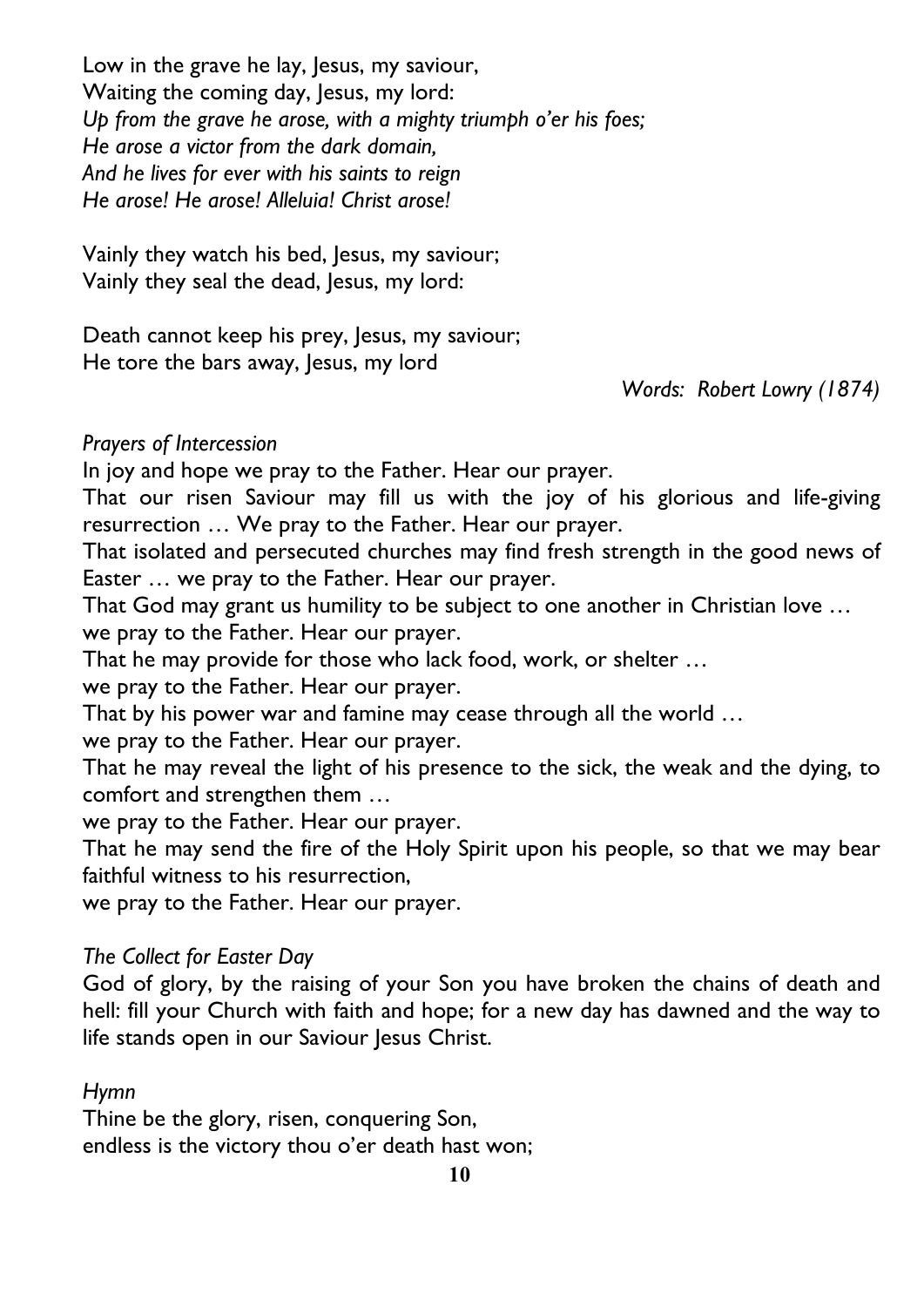Low in the grave he lay, Jesus, my saviour, Waiting the coming day, Jesus, my lord: *Up from the grave he arose, with a mighty triumph o'er his foes; He arose a victor from the dark domain, And he lives for ever with his saints to reign He arose! He arose! Alleluia! Christ arose!*

Vainly they watch his bed, Jesus, my saviour; Vainly they seal the dead, Jesus, my lord:

Death cannot keep his prey, Jesus, my saviour; He tore the bars away, Jesus, my lord

*Words: Robert Lowry (1874)*

### *Prayers of Intercession*

In joy and hope we pray to the Father. Hear our prayer.

That our risen Saviour may fill us with the joy of his glorious and life-giving resurrection … We pray to the Father. Hear our prayer.

That isolated and persecuted churches may find fresh strength in the good news of Easter … we pray to the Father. Hear our prayer.

That God may grant us humility to be subject to one another in Christian love … we pray to the Father. Hear our prayer.

That he may provide for those who lack food, work, or shelter …

we pray to the Father. Hear our prayer.

That by his power war and famine may cease through all the world …

we pray to the Father. Hear our prayer.

That he may reveal the light of his presence to the sick, the weak and the dying, to comfort and strengthen them …

we pray to the Father. Hear our prayer.

That he may send the fire of the Holy Spirit upon his people, so that we may bear faithful witness to his resurrection,

we pray to the Father. Hear our prayer.

### *The Collect for Easter Day*

God of glory, by the raising of your Son you have broken the chains of death and hell: fill your Church with faith and hope; for a new day has dawned and the way to life stands open in our Saviour Jesus Christ.

### *Hymn*

Thine be the glory, risen, conquering Son, endless is the victory thou o'er death hast won;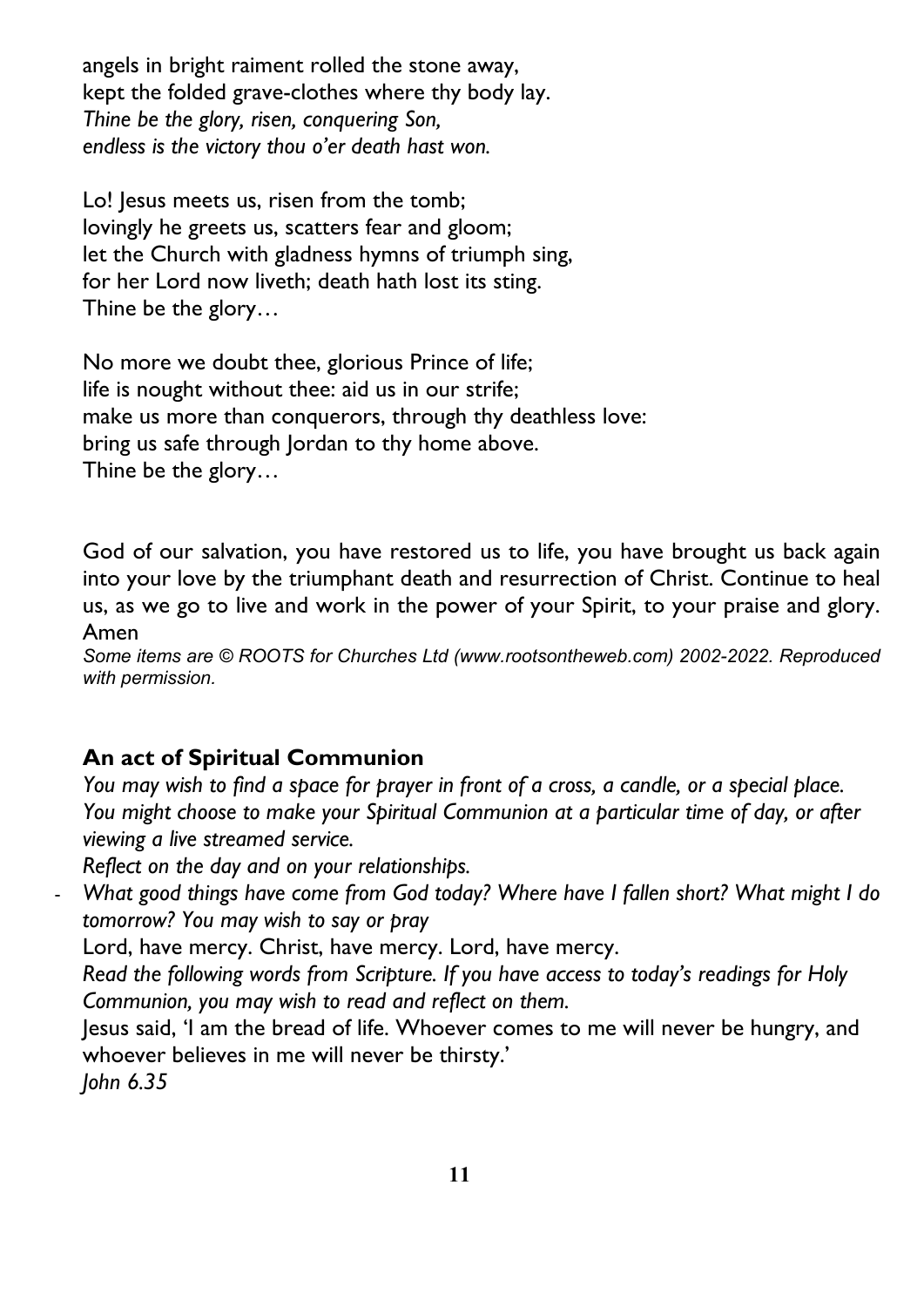angels in bright raiment rolled the stone away, kept the folded grave-clothes where thy body lay. *Thine be the glory, risen, conquering Son, endless is the victory thou o'er death hast won.*

Lo! Jesus meets us, risen from the tomb; lovingly he greets us, scatters fear and gloom; let the Church with gladness hymns of triumph sing, for her Lord now liveth; death hath lost its sting. Thine be the glory…

No more we doubt thee, glorious Prince of life; life is nought without thee: aid us in our strife; make us more than conquerors, through thy deathless love: bring us safe through Jordan to thy home above. Thine be the glory…

God of our salvation, you have restored us to life, you have brought us back again into your love by the triumphant death and resurrection of Christ. Continue to heal us, as we go to live and work in the power of your Spirit, to your praise and glory. Amen

*Some items are © ROOTS for Churches Ltd (www.rootsontheweb.com) 2002-2022. Reproduced with permission.*

## **An act of Spiritual Communion**

*You may wish to find a space for prayer in front of a cross, a candle, or a special place. You might choose to make your Spiritual Communion at a particular time of day, or after viewing a live streamed service.*

*Reflect on the day and on your relationships.*

- *What good things have come from God today? Where have I fallen short? What might I do tomorrow? You may wish to say or pray*

Lord, have mercy. Christ, have mercy. Lord, have mercy.

*Read the following words from Scripture. If you have access to today's readings for Holy Communion, you may wish to read and reflect on them.*

Jesus said, 'I am the bread of life. Whoever comes to me will never be hungry, and whoever believes in me will never be thirsty.' *John 6.35*

**11**